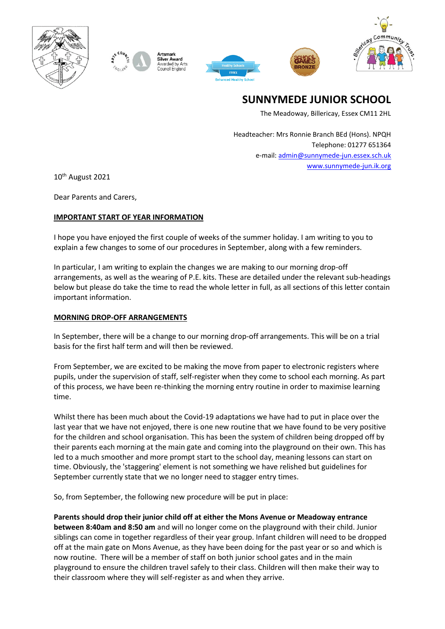



ilver Award warded by Arts







**SUNNYMEDE JUNIOR SCHOOL**

The Meadoway, Billericay, Essex CM11 2HL

Headteacher: Mrs Ronnie Branch BEd (Hons). NPQH Telephone: 01277 651364 e-mail[: admin@sunnymede-jun.essex.sch.uk](mailto:admin@sunnymede-jun.essex.sch.uk) [www.sunnymede-jun.ik.org](http://www.sunnymede-jun.ik.org/)

10th August 2021

Dear Parents and Carers,

# **IMPORTANT START OF YEAR INFORMATION**

I hope you have enjoyed the first couple of weeks of the summer holiday. I am writing to you to explain a few changes to some of our procedures in September, along with a few reminders.

In particular, I am writing to explain the changes we are making to our morning drop-off arrangements, as well as the wearing of P.E. kits. These are detailed under the relevant sub-headings below but please do take the time to read the whole letter in full, as all sections of this letter contain important information.

## **MORNING DROP-OFF ARRANGEMENTS**

In September, there will be a change to our morning drop-off arrangements. This will be on a trial basis for the first half term and will then be reviewed.

From September, we are excited to be making the move from paper to electronic registers where pupils, under the supervision of staff, self-register when they come to school each morning. As part of this process, we have been re-thinking the morning entry routine in order to maximise learning time.

Whilst there has been much about the Covid-19 adaptations we have had to put in place over the last year that we have not enjoyed, there is one new routine that we have found to be very positive for the children and school organisation. This has been the system of children being dropped off by their parents each morning at the main gate and coming into the playground on their own. This has led to a much smoother and more prompt start to the school day, meaning lessons can start on time. Obviously, the 'staggering' element is not something we have relished but guidelines for September currently state that we no longer need to stagger entry times.

So, from September, the following new procedure will be put in place:

**Parents should drop their junior child off at either the Mons Avenue or Meadoway entrance between 8:40am and 8:50 am** and will no longer come on the playground with their child. Junior siblings can come in together regardless of their year group. Infant children will need to be dropped off at the main gate on Mons Avenue, as they have been doing for the past year or so and which is now routine. There will be a member of staff on both junior school gates and in the main playground to ensure the children travel safely to their class. Children will then make their way to their classroom where they will self-register as and when they arrive.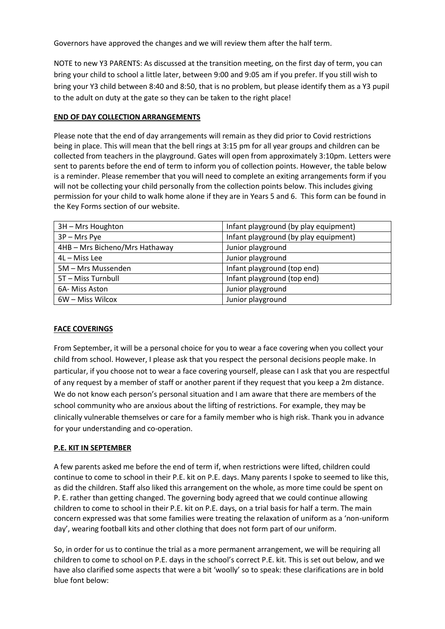Governors have approved the changes and we will review them after the half term.

NOTE to new Y3 PARENTS: As discussed at the transition meeting, on the first day of term, you can bring your child to school a little later, between 9:00 and 9:05 am if you prefer. If you still wish to bring your Y3 child between 8:40 and 8:50, that is no problem, but please identify them as a Y3 pupil to the adult on duty at the gate so they can be taken to the right place!

### **END OF DAY COLLECTION ARRANGEMENTS**

Please note that the end of day arrangements will remain as they did prior to Covid restrictions being in place. This will mean that the bell rings at 3:15 pm for all year groups and children can be collected from teachers in the playground. Gates will open from approximately 3:10pm. Letters were sent to parents before the end of term to inform you of collection points. However, the table below is a reminder. Please remember that you will need to complete an exiting arrangements form if you will not be collecting your child personally from the collection points below. This includes giving permission for your child to walk home alone if they are in Years 5 and 6. This form can be found in the Key Forms section of our website.

| 3H - Mrs Houghton              | Infant playground (by play equipment) |
|--------------------------------|---------------------------------------|
| 3P - Mrs Pye                   | Infant playground (by play equipment) |
| 4HB - Mrs Bicheno/Mrs Hathaway | Junior playground                     |
| 4L - Miss Lee                  | Junior playground                     |
| 5M - Mrs Mussenden             | Infant playground (top end)           |
| 5T - Miss Turnbull             | Infant playground (top end)           |
| 6A- Miss Aston                 | Junior playground                     |
| 6W - Miss Wilcox               | Junior playground                     |

## **FACE COVERINGS**

From September, it will be a personal choice for you to wear a face covering when you collect your child from school. However, I please ask that you respect the personal decisions people make. In particular, if you choose not to wear a face covering yourself, please can I ask that you are respectful of any request by a member of staff or another parent if they request that you keep a 2m distance. We do not know each person's personal situation and I am aware that there are members of the school community who are anxious about the lifting of restrictions. For example, they may be clinically vulnerable themselves or care for a family member who is high risk. Thank you in advance for your understanding and co-operation.

#### **P.E. KIT IN SEPTEMBER**

A few parents asked me before the end of term if, when restrictions were lifted, children could continue to come to school in their P.E. kit on P.E. days. Many parents I spoke to seemed to like this, as did the children. Staff also liked this arrangement on the whole, as more time could be spent on P. E. rather than getting changed. The governing body agreed that we could continue allowing children to come to school in their P.E. kit on P.E. days, on a trial basis for half a term. The main concern expressed was that some families were treating the relaxation of uniform as a 'non-uniform day', wearing football kits and other clothing that does not form part of our uniform.

So, in order for us to continue the trial as a more permanent arrangement, we will be requiring all children to come to school on P.E. days in the school's correct P.E. kit. This is set out below, and we have also clarified some aspects that were a bit 'woolly' so to speak: these clarifications are in bold blue font below: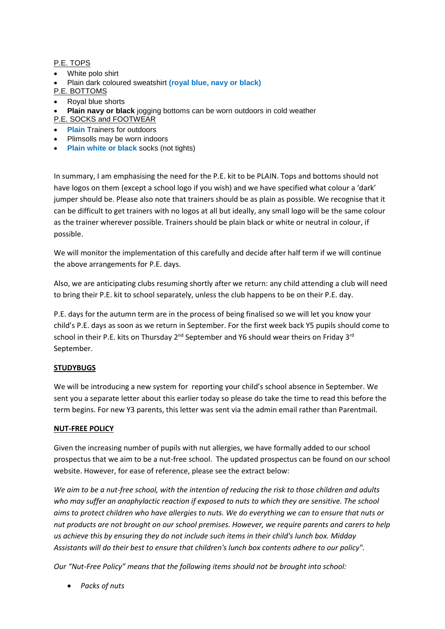### P.E. TOPS

- White polo shirt
- Plain dark coloured sweatshirt **(royal blue, navy or black)**
- P.E. BOTTOMS
- Royal blue shorts
- **Plain navy or black** jogging bottoms can be worn outdoors in cold weather
- P.E. SOCKS and FOOTWEAR
- **Plain** Trainers for outdoors
- Plimsolls may be worn indoors
- **Plain white or black** socks (not tights)

In summary, I am emphasising the need for the P.E. kit to be PLAIN. Tops and bottoms should not have logos on them (except a school logo if you wish) and we have specified what colour a 'dark' jumper should be. Please also note that trainers should be as plain as possible. We recognise that it can be difficult to get trainers with no logos at all but ideally, any small logo will be the same colour as the trainer wherever possible. Trainers should be plain black or white or neutral in colour, if possible.

We will monitor the implementation of this carefully and decide after half term if we will continue the above arrangements for P.E. days.

Also, we are anticipating clubs resuming shortly after we return: any child attending a club will need to bring their P.E. kit to school separately, unless the club happens to be on their P.E. day.

P.E. days for the autumn term are in the process of being finalised so we will let you know your child's P.E. days as soon as we return in September. For the first week back Y5 pupils should come to school in their P.E. kits on Thursday  $2^{nd}$  September and Y6 should wear theirs on Friday 3<sup>rd</sup> September.

## **STUDYBUGS**

We will be introducing a new system for reporting your child's school absence in September. We sent you a separate letter about this earlier today so please do take the time to read this before the term begins. For new Y3 parents, this letter was sent via the admin email rather than Parentmail.

#### **NUT-FREE POLICY**

Given the increasing number of pupils with nut allergies, we have formally added to our school prospectus that we aim to be a nut-free school. The updated prospectus can be found on our school website. However, for ease of reference, please see the extract below:

*We aim to be a nut-free school, with the intention of reducing the risk to those children and adults who may suffer an anaphylactic reaction if exposed to nuts to which they are sensitive. The school aims to protect children who have allergies to nuts. We do everything we can to ensure that nuts or nut products are not brought on our school premises. However, we require parents and carers to help us achieve this by ensuring they do not include such items in their child's lunch box. Midday Assistants will do their best to ensure that children's lunch box contents adhere to our policy".*

*Our "Nut-Free Policy" means that the following items should not be brought into school:* 

• *Packs of nuts*